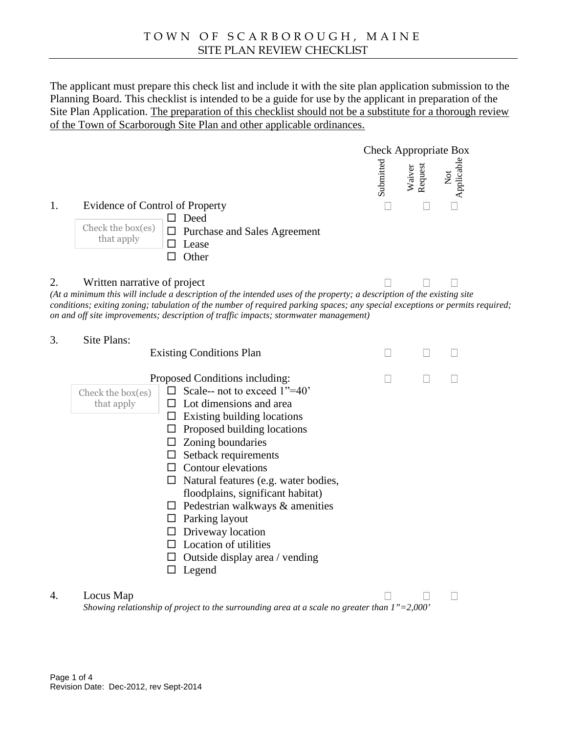The applicant must prepare this check list and include it with the site plan application submission to the Planning Board. This checklist is intended to be a guide for use by the applicant in preparation of the Site Plan Application The preparation of the checklist should not be a substitute for a thorough review of the Town of Scarborough Site Pland a there applicable ordinances.

Check Appropriate Box<br>  $\frac{1}{2}$   $\frac{1}{2}$   $\frac{1}{2}$   $\frac{1}{2}$   $\frac{1}{2}$   $\frac{1}{2}$   $\frac{1}{2}$   $\frac{1}{2}$   $\frac{1}{2}$   $\frac{1}{2}$ 

1. Evidence of Control of Property

ð¨ Deed Check the b  $\delta$  Purchase and Sales Agreement that apply  $\delta$ " Lease

ð¨ Other

### 2. Written narrative of project

(At a minimum this will include a description of the intended uses of the property; a description of the existing site conditions; exing zoning; tabulation of the number of required parking spaces; any special exceptions or permits required; on and off site improvements; description of traffic impacts; stormwater management)

### 3. Site Plans:

**Existing Conditions Plan** 

Proposed Conditions including:

| <b>I</b> Imposed Conditions Indiading.          |                                  |  |  |  |
|-------------------------------------------------|----------------------------------|--|--|--|
| Check the b $\delta$ Scale-not to exceed 1 = 40 |                                  |  |  |  |
| that apply $\delta$ " Lot dimensions and area   |                                  |  |  |  |
| ð Existing building locations                   |                                  |  |  |  |
| ð" Proposed building locations                  |                                  |  |  |  |
| ð Zoning boundaries                             |                                  |  |  |  |
| ð" Setback requirements                         |                                  |  |  |  |
| ð" Contour elevations                           |                                  |  |  |  |
| ð Natural features (e.g. weer bodies,           |                                  |  |  |  |
| floodplains, significant habitat)               |                                  |  |  |  |
| ð" Pedestrian walkways & amenities              |                                  |  |  |  |
| ð Parking layout                                |                                  |  |  |  |
| ð" Driveway location                            |                                  |  |  |  |
| ð"                                              | Location of utilities            |  |  |  |
|                                                 | ð Outside display area / vending |  |  |  |
| Legend                                          |                                  |  |  |  |
|                                                 |                                  |  |  |  |

### 4. LocusMap

Showing relationshipof project to the surrounding area at a scale no greater than  $1 \in = 2,000 \cdot$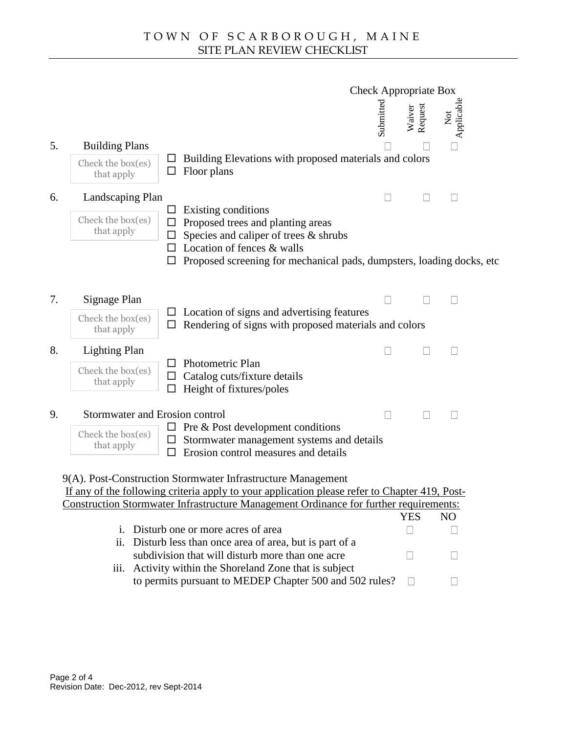| <b>Check Appropriate Box</b> |            |                                        |  |
|------------------------------|------------|----------------------------------------|--|
| ے<br>E<br>욤                  | Vai<br>Req | ω<br>$\tilde{\mathbf{z}}$<br><u>.=</u> |  |

# 5. Building Plans

 $C$  heck the bo that apply

- ð¨ Building Elevations with proposed materials and colors
- ð¨ Floor plans

# 6. Landscaping Plan

```
Check the bthat apply
```
- ð¨ Existing conditions
- ð¨ Proposed trees and planting areas
- ð¨ Species and caliper of trees & shrubs
- ð¨ Location of fences & walls
- ð" Proposed screening for mechanipads, dumpsters, loading docks, etc

# 7. Signage Plan

Check the b that apply

- ð¨ Location of signs and advertising features
- ð¨ Rendering of signs with proposed materials and colors

## 8. Lighting Plan

Check the b that apply

- ð¨ Photometric Plan
- ð¨ Catalog cuts/fixture details
- ð Height of fixture spoles

## 9. Stormwater and Erosin control

ð¨ Pre& Post development conditions

| Check the b<br>that apply |  |  |
|---------------------------|--|--|

- Check the b  $\delta$  Stormwater management systems and details
	- ð¨ Erosion control measures adetails

9(A). PostConstruction Stormwater Infrastructure Management If any of the followingcriteriaapplyto your application please refer to Chapter 410st Construction Stormwater Infrastructure Management Ordinance for further requirements:

YES NO

- i. Disturb one or more acres of area
- ii. Disturb less than once area of area, butaris of a subdivision that will disturb more than one acre
- iii. Activity within the Shoreland Zone that is subject to permits pursuant to MEDEP Chapter 500 and 502 rules?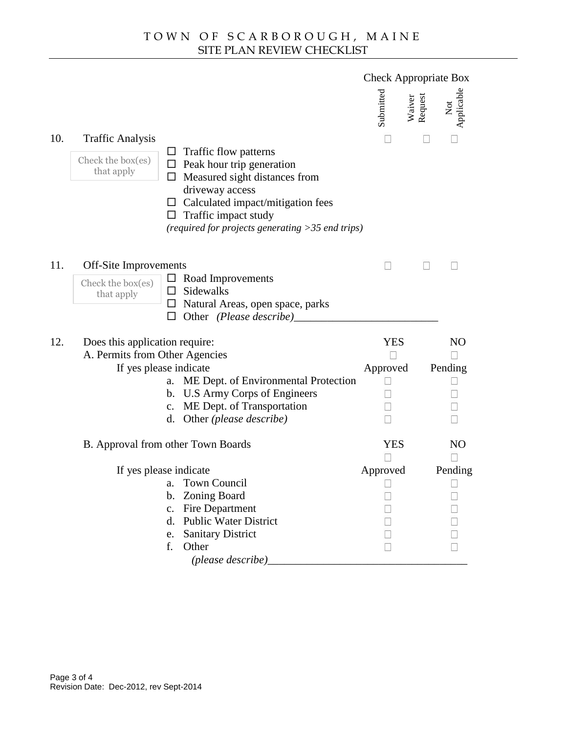|                         |                                                                                                                                                 | <b>Check Appropriate Box</b>                                                                                                                                                                                                                                                                                                                                                                                             |                                                                                                                                                                                                                                 |
|-------------------------|-------------------------------------------------------------------------------------------------------------------------------------------------|--------------------------------------------------------------------------------------------------------------------------------------------------------------------------------------------------------------------------------------------------------------------------------------------------------------------------------------------------------------------------------------------------------------------------|---------------------------------------------------------------------------------------------------------------------------------------------------------------------------------------------------------------------------------|
|                         |                                                                                                                                                 | Submitted<br>Waiver<br>Request                                                                                                                                                                                                                                                                                                                                                                                           | Not<br>Applicable                                                                                                                                                                                                               |
| <b>Traffic Analysis</b> |                                                                                                                                                 |                                                                                                                                                                                                                                                                                                                                                                                                                          |                                                                                                                                                                                                                                 |
|                         | driveway access<br>ð" Traffic impact study                                                                                                      |                                                                                                                                                                                                                                                                                                                                                                                                                          |                                                                                                                                                                                                                                 |
|                         |                                                                                                                                                 |                                                                                                                                                                                                                                                                                                                                                                                                                          |                                                                                                                                                                                                                                 |
|                         |                                                                                                                                                 |                                                                                                                                                                                                                                                                                                                                                                                                                          |                                                                                                                                                                                                                                 |
|                         |                                                                                                                                                 | <b>YES</b><br>Approved                                                                                                                                                                                                                                                                                                                                                                                                   | <b>NO</b><br>Pending                                                                                                                                                                                                            |
|                         | b. U.S Army Corps of Engineers<br>c. ME Dept. of Transportation<br>d. Other (please describe)                                                   |                                                                                                                                                                                                                                                                                                                                                                                                                          |                                                                                                                                                                                                                                 |
|                         |                                                                                                                                                 | <b>YES</b>                                                                                                                                                                                                                                                                                                                                                                                                               | <b>NO</b>                                                                                                                                                                                                                       |
|                         | a. Town Council<br>b. Zoning Board<br><b>Fire Department</b><br>C.<br><b>Public Water District</b><br>d.<br>e. Sanitary District<br>f.<br>Other | Approved                                                                                                                                                                                                                                                                                                                                                                                                                 | Pending                                                                                                                                                                                                                         |
|                         |                                                                                                                                                 | ð Traffic flow patterns<br>Check the b $\delta$ Peak hour trip generation<br>that apply $\delta$ Measured sight distances<br>Off-Site Improvements<br>Check the b $\delta$ Road Improvements<br>that apply $\delta$ Sidewalks<br>ð Other (Please describe)<br>Does this application require:<br>A. Permits from Other Agencies<br>If yes please indicate<br>B. Approval from other Town Boards<br>If yes please indicate | ð" Measured sight distances from<br>ð" Calculated impadmitigationfees<br>(required for projects generating > 35 end trips)<br>ð" Natural Areasopen space, parks<br>a. ME Dept. of Environmental Protection<br>(please describe) |